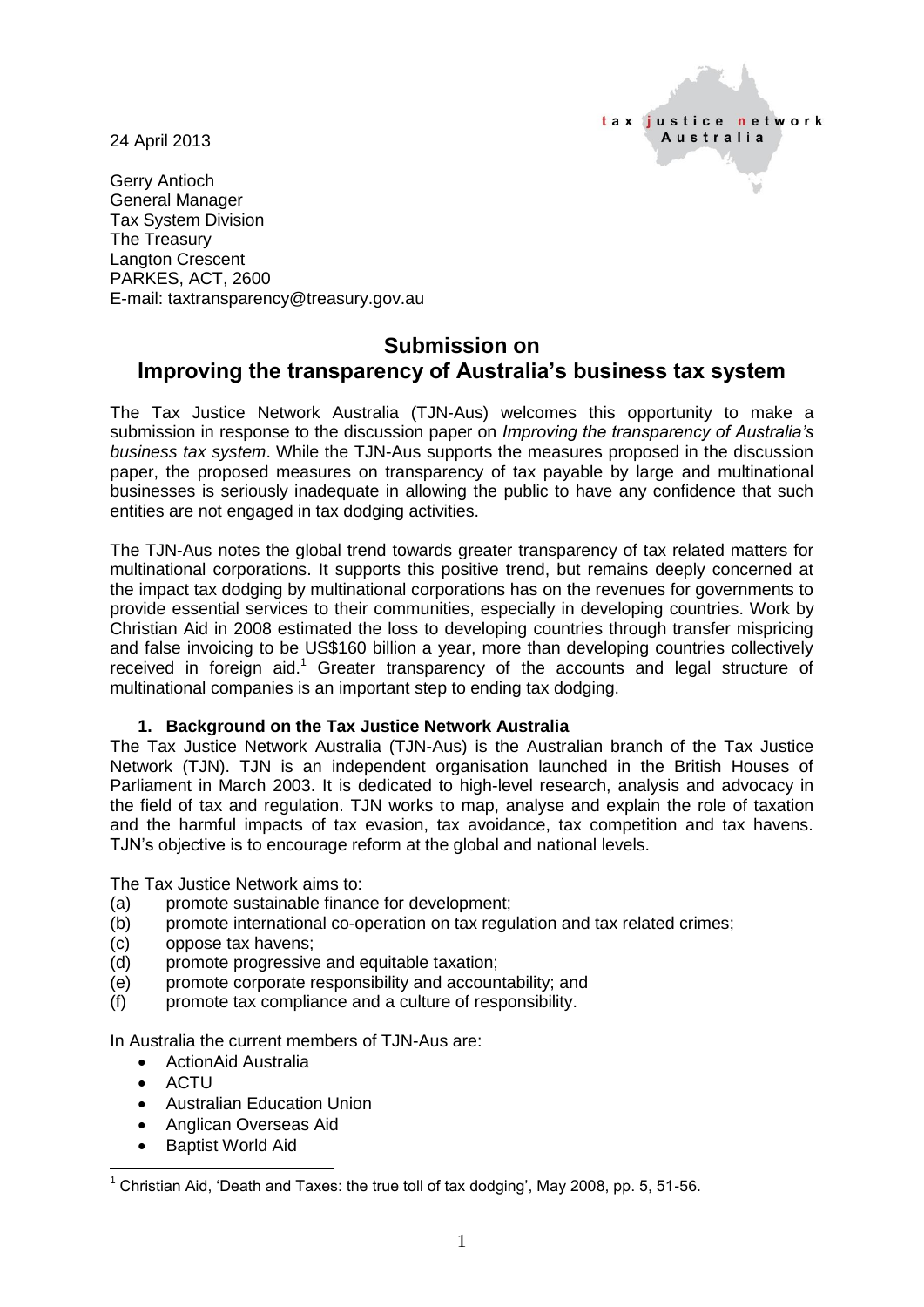24 April 2013



Gerry Antioch General Manager Tax System Division The Treasury Langton Crescent PARKES, ACT, 2600 E-mail: taxtransparency@treasury.gov.au

## **Submission on Improving the transparency of Australia's business tax system**

The Tax Justice Network Australia (TJN-Aus) welcomes this opportunity to make a submission in response to the discussion paper on *Improving the transparency of Australia's business tax system*. While the TJN-Aus supports the measures proposed in the discussion paper, the proposed measures on transparency of tax payable by large and multinational businesses is seriously inadequate in allowing the public to have any confidence that such entities are not engaged in tax dodging activities.

The TJN-Aus notes the global trend towards greater transparency of tax related matters for multinational corporations. It supports this positive trend, but remains deeply concerned at the impact tax dodging by multinational corporations has on the revenues for governments to provide essential services to their communities, especially in developing countries. Work by Christian Aid in 2008 estimated the loss to developing countries through transfer mispricing and false invoicing to be US\$160 billion a year, more than developing countries collectively received in foreign aid.<sup>1</sup> Greater transparency of the accounts and legal structure of multinational companies is an important step to ending tax dodging.

### **1. Background on the Tax Justice Network Australia**

The Tax Justice Network Australia (TJN-Aus) is the Australian branch of the Tax Justice Network (TJN). TJN is an independent organisation launched in the British Houses of Parliament in March 2003. It is dedicated to high-level research, analysis and advocacy in the field of tax and regulation. TJN works to map, analyse and explain the role of taxation and the harmful impacts of tax evasion, tax avoidance, tax competition and tax havens. TJN's objective is to encourage reform at the global and national levels.

The Tax Justice Network aims to:

- (a) promote sustainable finance for development;
- (b) promote international co-operation on tax regulation and tax related crimes;
- (c) oppose tax havens;
- (d) promote progressive and equitable taxation;
- (e) promote corporate responsibility and accountability; and
- (f) promote tax compliance and a culture of responsibility.

In Australia the current members of TJN-Aus are:

- ActionAid Australia
- **ACTU**
- Australian Education Union
- Anglican Overseas Aid
- Baptist World Aid

 $\overline{a}$ <sup>1</sup> Christian Aid, 'Death and Taxes: the true toll of tax dodging', May 2008, pp. 5, 51-56.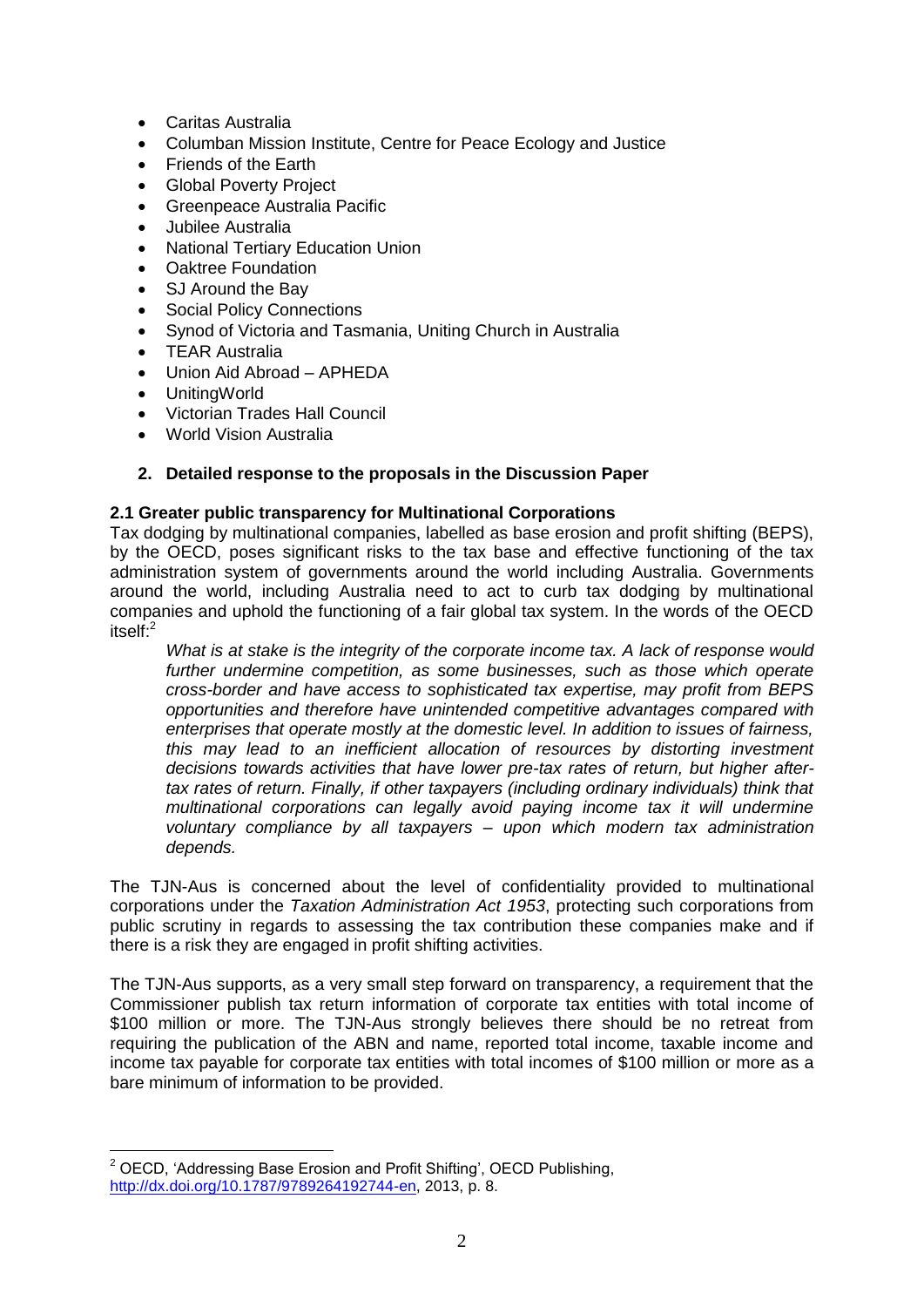- Caritas Australia
- Columban Mission Institute, Centre for Peace Ecology and Justice
- Friends of the Earth
- Global Poverty Project
- Greenpeace Australia Pacific
- Jubilee Australia
- National Tertiary Education Union
- Oaktree Foundation
- SJ Around the Bay
- Social Policy Connections
- Synod of Victoria and Tasmania, Uniting Church in Australia
- TEAR Australia
- Union Aid Abroad APHEDA
- UnitingWorld
- Victorian Trades Hall Council
- World Vision Australia

## **2. Detailed response to the proposals in the Discussion Paper**

### **2.1 Greater public transparency for Multinational Corporations**

Tax dodging by multinational companies, labelled as base erosion and profit shifting (BEPS), by the OECD, poses significant risks to the tax base and effective functioning of the tax administration system of governments around the world including Australia. Governments around the world, including Australia need to act to curb tax dodging by multinational companies and uphold the functioning of a fair global tax system. In the words of the OECD itself:<sup>2</sup>

*What is at stake is the integrity of the corporate income tax. A lack of response would*  further undermine competition, as some businesses, such as those which operate *cross-border and have access to sophisticated tax expertise, may profit from BEPS opportunities and therefore have unintended competitive advantages compared with enterprises that operate mostly at the domestic level. In addition to issues of fairness, this may lead to an inefficient allocation of resources by distorting investment decisions towards activities that have lower pre-tax rates of return, but higher aftertax rates of return. Finally, if other taxpayers (including ordinary individuals) think that multinational corporations can legally avoid paying income tax it will undermine voluntary compliance by all taxpayers – upon which modern tax administration depends.* 

The TJN-Aus is concerned about the level of confidentiality provided to multinational corporations under the *Taxation Administration Act 1953*, protecting such corporations from public scrutiny in regards to assessing the tax contribution these companies make and if there is a risk they are engaged in profit shifting activities.

The TJN-Aus supports, as a very small step forward on transparency, a requirement that the Commissioner publish tax return information of corporate tax entities with total income of \$100 million or more. The TJN-Aus strongly believes there should be no retreat from requiring the publication of the ABN and name, reported total income, taxable income and income tax payable for corporate tax entities with total incomes of \$100 million or more as a bare minimum of information to be provided.

 $\overline{a}$ <sup>2</sup> OECD, 'Addressing Base Erosion and Profit Shifting', OECD Publishing, [http://dx.doi.org/10.1787/9789264192744-en,](http://dx.doi.org/10.1787/9789264192744-en) 2013, p. 8.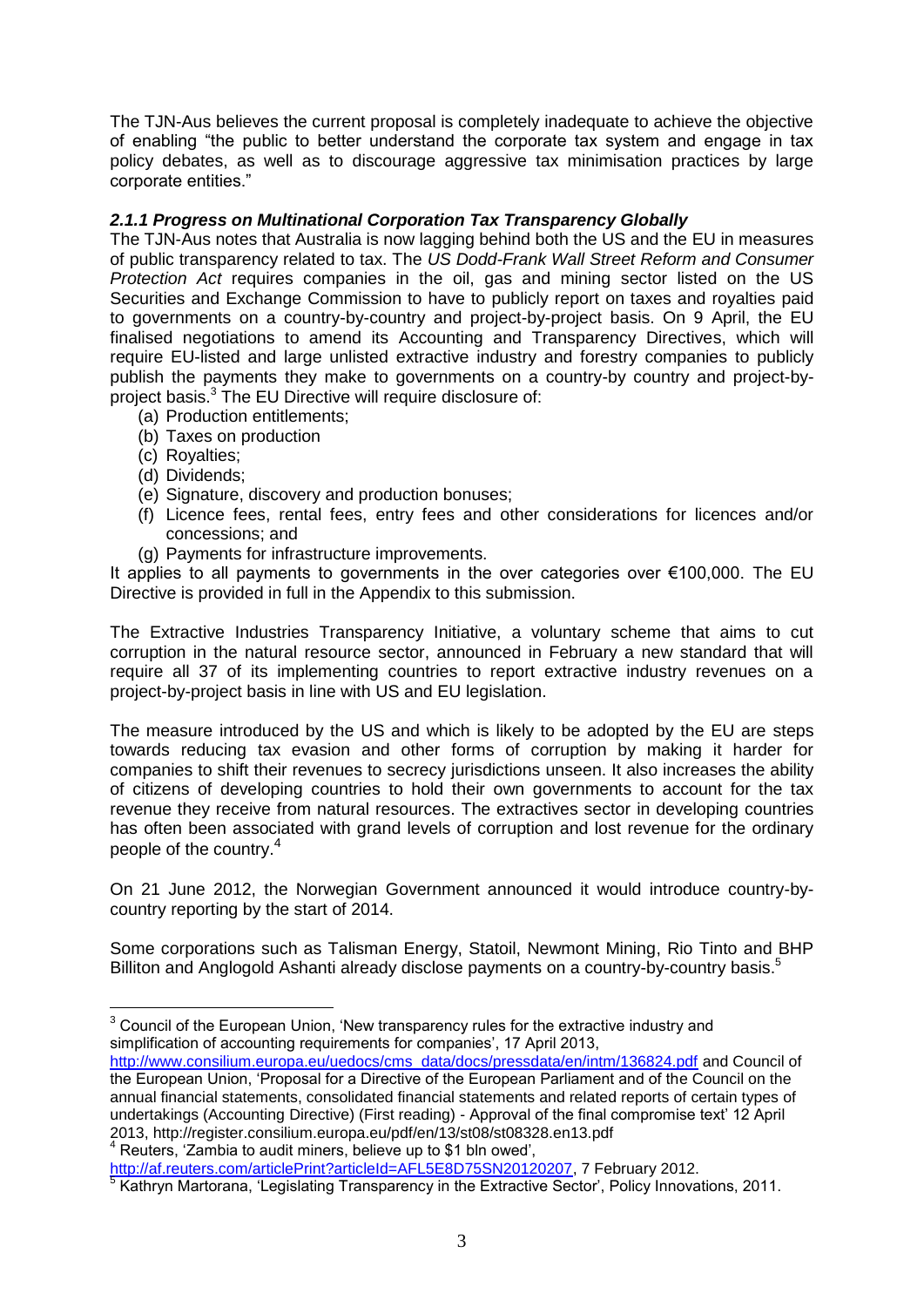The TJN-Aus believes the current proposal is completely inadequate to achieve the objective of enabling "the public to better understand the corporate tax system and engage in tax policy debates, as well as to discourage aggressive tax minimisation practices by large corporate entities."

## *2.1.1 Progress on Multinational Corporation Tax Transparency Globally*

The TJN-Aus notes that Australia is now lagging behind both the US and the EU in measures of public transparency related to tax. The *US Dodd-Frank Wall Street Reform and Consumer Protection Act* requires companies in the oil, gas and mining sector listed on the US Securities and Exchange Commission to have to publicly report on taxes and royalties paid to governments on a country-by-country and project-by-project basis. On 9 April, the EU finalised negotiations to amend its Accounting and Transparency Directives, which will require EU-listed and large unlisted extractive industry and forestry companies to publicly publish the payments they make to governments on a country-by country and project-byproject basis.<sup>3</sup> The EU Directive will require disclosure of:

- (a) Production entitlements;
- (b) Taxes on production
- (c) Royalties;
- (d) Dividends;

 $\overline{a}$ 

- (e) Signature, discovery and production bonuses;
- (f) Licence fees, rental fees, entry fees and other considerations for licences and/or concessions; and
- (g) Payments for infrastructure improvements.

It applies to all payments to governments in the over categories over €100,000. The EU Directive is provided in full in the Appendix to this submission.

The Extractive Industries Transparency Initiative, a voluntary scheme that aims to cut corruption in the natural resource sector, announced in February a new standard that will require all 37 of its implementing countries to report extractive industry revenues on a project-by-project basis in line with US and EU legislation.

The measure introduced by the US and which is likely to be adopted by the EU are steps towards reducing tax evasion and other forms of corruption by making it harder for companies to shift their revenues to secrecy jurisdictions unseen. It also increases the ability of citizens of developing countries to hold their own governments to account for the tax revenue they receive from natural resources. The extractives sector in developing countries has often been associated with grand levels of corruption and lost revenue for the ordinary people of the country.<sup>4</sup>

On 21 June 2012, the Norwegian Government announced it would introduce country-bycountry reporting by the start of 2014.

Some corporations such as Talisman Energy, Statoil, Newmont Mining, Rio Tinto and BHP Billiton and Anglogold Ashanti already disclose payments on a country-by-country basis.<sup>5</sup>

[http://af.reuters.com/articlePrint?articleId=AFL5E8D75SN20120207,](http://af.reuters.com/articlePrint?articleId=AFL5E8D75SN20120207) 7 February 2012.<br>5 Kotharn Merterana, il egiploting Transporcancy in the Extredive Sector: Deligy Innova Kathryn Martorana, 'Legislating Transparency in the Extractive Sector', Policy Innovations, 2011.

 $3$  Council of the European Union, 'New transparency rules for the extractive industry and simplification of accounting requirements for companies', 17 April 2013,

[http://www.consilium.europa.eu/uedocs/cms\\_data/docs/pressdata/en/intm/136824.pdf](http://www.consilium.europa.eu/uedocs/cms_data/docs/pressdata/en/intm/136824.pdf) and Council of the European Union, 'Proposal for a Directive of the European Parliament and of the Council on the annual financial statements, consolidated financial statements and related reports of certain types of undertakings (Accounting Directive) (First reading) - Approval of the final compromise text' 12 April 2013, http://register.consilium.europa.eu/pdf/en/13/st08/st08328.en13.pdf <sup>4</sup> Reuters, 'Zambia to audit miners, believe up to \$1 bln owed',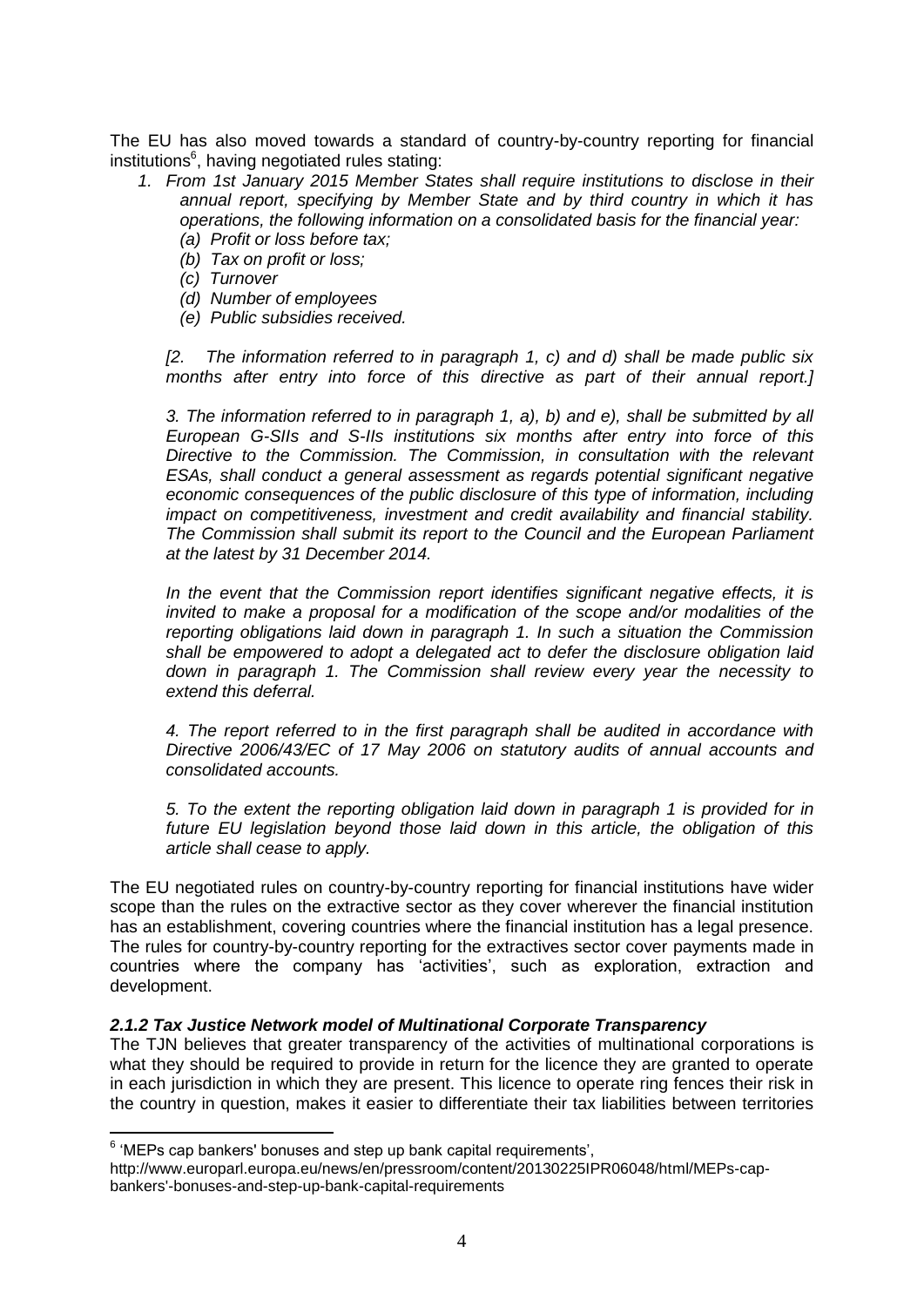The EU has also moved towards a standard of country-by-country reporting for financial institutions $^6$ , having negotiated rules stating:

- *1. From 1st January 2015 Member States shall require institutions to disclose in their annual report, specifying by Member State and by third country in which it has operations, the following information on a consolidated basis for the financial year: (a) Profit or loss before tax;*
	- *(b) Tax on profit or loss;*
	- *(c) Turnover*
	- *(d) Number of employees*
	- *(e) Public subsidies received.*

*[2. The information referred to in paragraph 1, c) and d) shall be made public six months after entry into force of this directive as part of their annual report.]*

*3. The information referred to in paragraph 1, a), b) and e), shall be submitted by all European G-SIIs and S-IIs institutions six months after entry into force of this Directive to the Commission. The Commission, in consultation with the relevant ESAs, shall conduct a general assessment as regards potential significant negative economic consequences of the public disclosure of this type of information, including impact on competitiveness, investment and credit availability and financial stability. The Commission shall submit its report to the Council and the European Parliament at the latest by 31 December 2014.*

*In the event that the Commission report identifies significant negative effects, it is invited to make a proposal for a modification of the scope and/or modalities of the reporting obligations laid down in paragraph 1. In such a situation the Commission shall be empowered to adopt a delegated act to defer the disclosure obligation laid down in paragraph 1. The Commission shall review every year the necessity to extend this deferral.*

*4. The report referred to in the first paragraph shall be audited in accordance with Directive 2006/43/EC of 17 May 2006 on statutory audits of annual accounts and consolidated accounts.*

*5. To the extent the reporting obligation laid down in paragraph 1 is provided for in future EU legislation beyond those laid down in this article, the obligation of this article shall cease to apply.*

The EU negotiated rules on country-by-country reporting for financial institutions have wider scope than the rules on the extractive sector as they cover wherever the financial institution has an establishment, covering countries where the financial institution has a legal presence. The rules for country-by-country reporting for the extractives sector cover payments made in countries where the company has 'activities', such as exploration, extraction and development.

#### *2.1.2 Tax Justice Network model of Multinational Corporate Transparency*

The TJN believes that greater transparency of the activities of multinational corporations is what they should be required to provide in return for the licence they are granted to operate in each jurisdiction in which they are present. This licence to operate ring fences their risk in the country in question, makes it easier to differentiate their tax liabilities between territories

 $6 \nmid$ MEPs cap bankers' bonuses and step up bank capital requirements',

http://www.europarl.europa.eu/news/en/pressroom/content/20130225IPR06048/html/MEPs-capbankers'-bonuses-and-step-up-bank-capital-requirements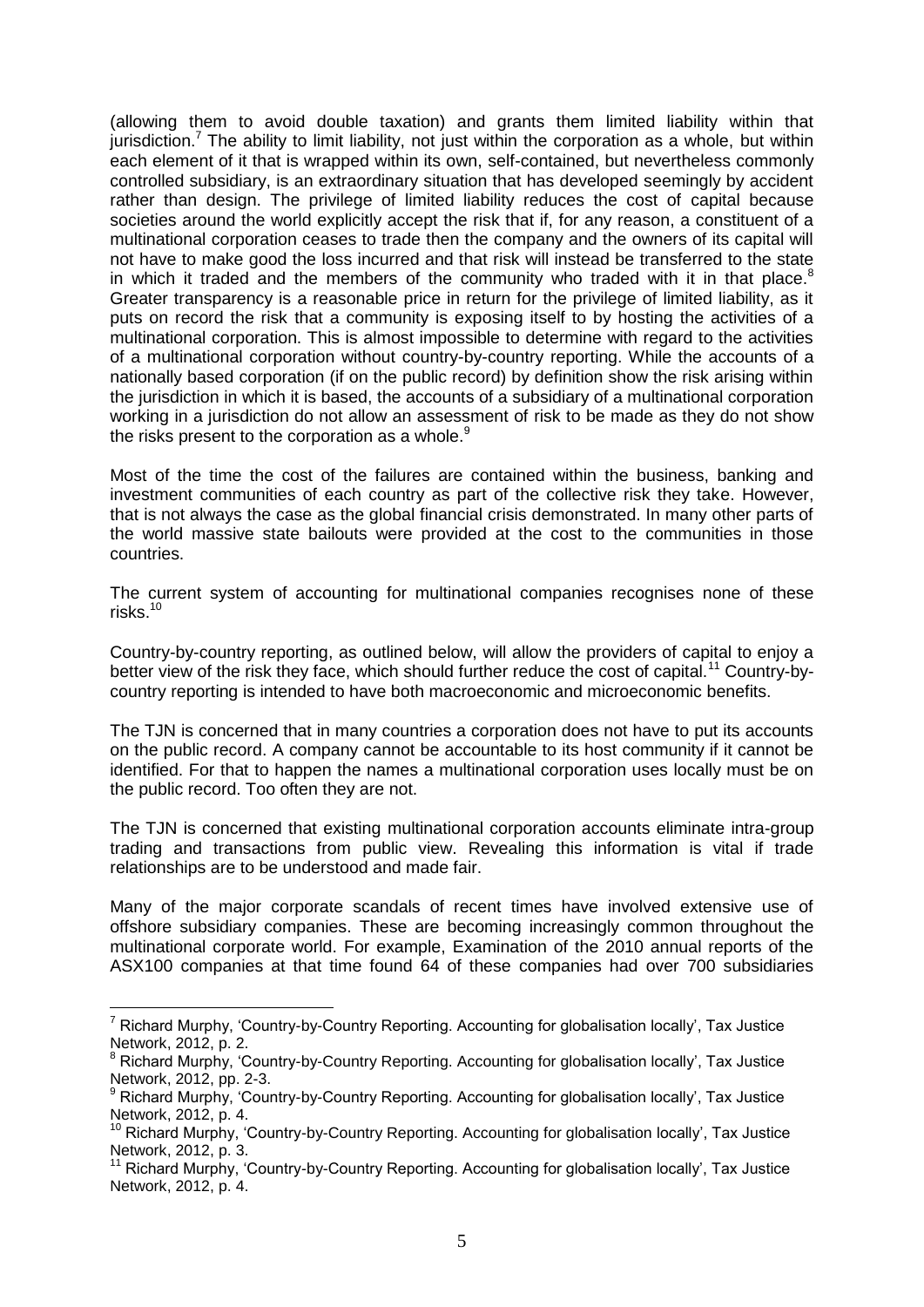(allowing them to avoid double taxation) and grants them limited liability within that jurisdiction.<sup>7</sup> The ability to limit liability, not just within the corporation as a whole, but within each element of it that is wrapped within its own, self-contained, but nevertheless commonly controlled subsidiary, is an extraordinary situation that has developed seemingly by accident rather than design. The privilege of limited liability reduces the cost of capital because societies around the world explicitly accept the risk that if, for any reason, a constituent of a multinational corporation ceases to trade then the company and the owners of its capital will not have to make good the loss incurred and that risk will instead be transferred to the state in which it traded and the members of the community who traded with it in that place. $8$ Greater transparency is a reasonable price in return for the privilege of limited liability, as it puts on record the risk that a community is exposing itself to by hosting the activities of a multinational corporation. This is almost impossible to determine with regard to the activities of a multinational corporation without country-by-country reporting. While the accounts of a nationally based corporation (if on the public record) by definition show the risk arising within the jurisdiction in which it is based, the accounts of a subsidiary of a multinational corporation working in a jurisdiction do not allow an assessment of risk to be made as they do not show the risks present to the corporation as a whole. $9$ 

Most of the time the cost of the failures are contained within the business, banking and investment communities of each country as part of the collective risk they take. However, that is not always the case as the global financial crisis demonstrated. In many other parts of the world massive state bailouts were provided at the cost to the communities in those countries.

The current system of accounting for multinational companies recognises none of these risks. $10$ 

Country-by-country reporting, as outlined below, will allow the providers of capital to enjoy a better view of the risk they face, which should further reduce the cost of capital.<sup>11</sup> Country-bycountry reporting is intended to have both macroeconomic and microeconomic benefits.

The TJN is concerned that in many countries a corporation does not have to put its accounts on the public record. A company cannot be accountable to its host community if it cannot be identified. For that to happen the names a multinational corporation uses locally must be on the public record. Too often they are not.

The TJN is concerned that existing multinational corporation accounts eliminate intra-group trading and transactions from public view. Revealing this information is vital if trade relationships are to be understood and made fair.

Many of the major corporate scandals of recent times have involved extensive use of offshore subsidiary companies. These are becoming increasingly common throughout the multinational corporate world. For example, Examination of the 2010 annual reports of the ASX100 companies at that time found 64 of these companies had over 700 subsidiaries

 $7$  Richard Murphy, 'Country-by-Country Reporting. Accounting for globalisation locally', Tax Justice Network, 2012, p. 2.

<sup>&</sup>lt;sup>8</sup> Richard Murphy, 'Country-by-Country Reporting. Accounting for globalisation locally', Tax Justice Network, 2012, pp. 2-3.

<sup>&</sup>lt;sup>9</sup> Richard Murphy, 'Country-by-Country Reporting. Accounting for globalisation locally', Tax Justice Network, 2012, p. 4.

<sup>&</sup>lt;sup>10</sup> Richard Murphy, 'Country-by-Country Reporting. Accounting for globalisation locally', Tax Justice Network, 2012, p. 3.

<sup>&</sup>lt;sup>11</sup> Richard Murphy, 'Country-by-Country Reporting. Accounting for globalisation locally', Tax Justice Network, 2012, p. 4.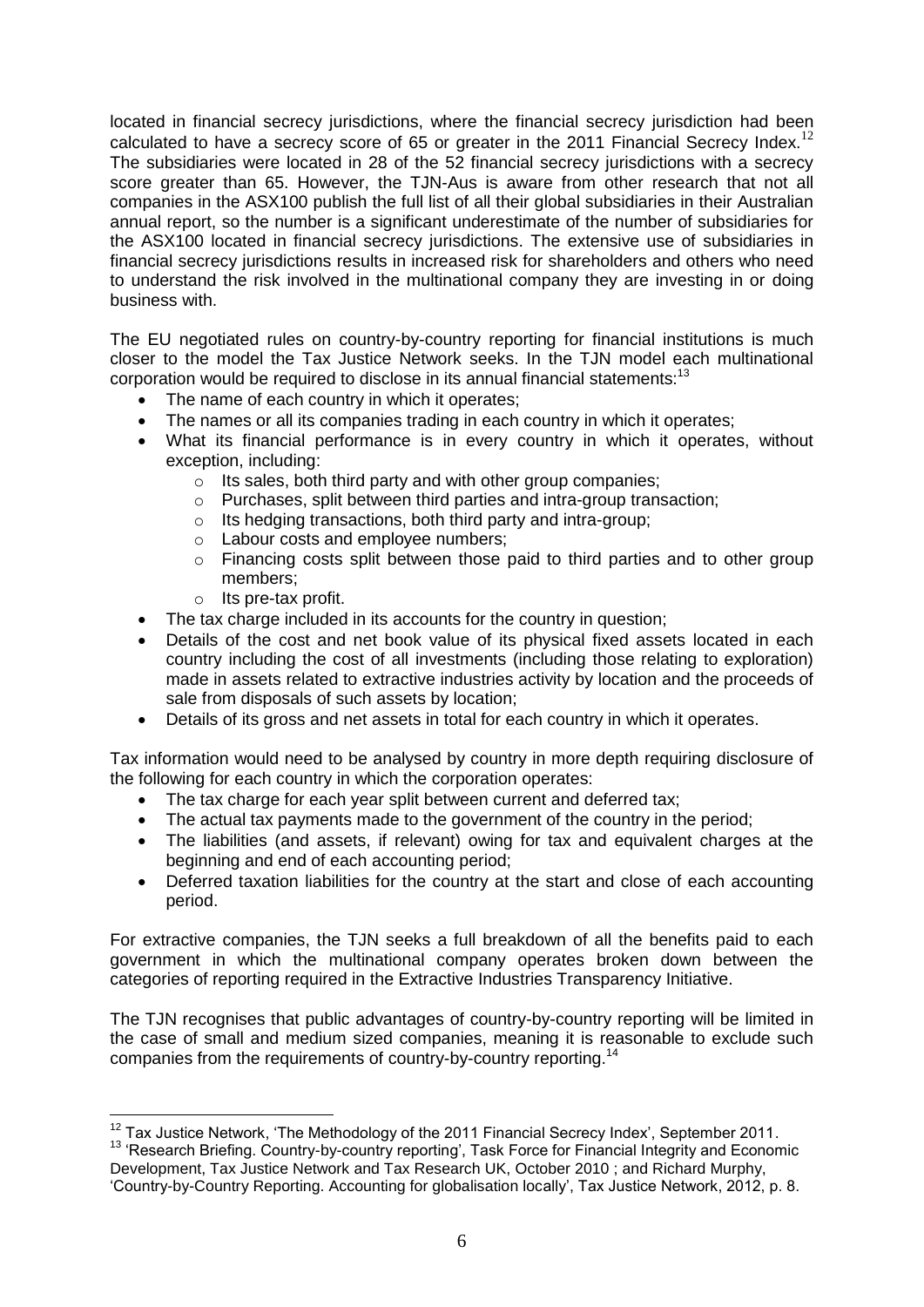located in financial secrecy jurisdictions, where the financial secrecy jurisdiction had been calculated to have a secrecy score of 65 or greater in the 2011 Financial Secrecy Index.<sup>12</sup> The subsidiaries were located in 28 of the 52 financial secrecy jurisdictions with a secrecy score greater than 65. However, the TJN-Aus is aware from other research that not all companies in the ASX100 publish the full list of all their global subsidiaries in their Australian annual report, so the number is a significant underestimate of the number of subsidiaries for the ASX100 located in financial secrecy jurisdictions. The extensive use of subsidiaries in financial secrecy jurisdictions results in increased risk for shareholders and others who need to understand the risk involved in the multinational company they are investing in or doing business with.

The EU negotiated rules on country-by-country reporting for financial institutions is much closer to the model the Tax Justice Network seeks. In the TJN model each multinational corporation would be required to disclose in its annual financial statements: $13$ 

- The name of each country in which it operates;
- The names or all its companies trading in each country in which it operates;
- What its financial performance is in every country in which it operates, without exception, including:
	- $\circ$  Its sales, both third party and with other group companies;
	- o Purchases, split between third parties and intra-group transaction;
	- o Its hedging transactions, both third party and intra-group;
	- o Labour costs and employee numbers;
	- o Financing costs split between those paid to third parties and to other group members;
	- o Its pre-tax profit.
- The tax charge included in its accounts for the country in question;
- Details of the cost and net book value of its physical fixed assets located in each country including the cost of all investments (including those relating to exploration) made in assets related to extractive industries activity by location and the proceeds of sale from disposals of such assets by location;
- Details of its gross and net assets in total for each country in which it operates.

Tax information would need to be analysed by country in more depth requiring disclosure of the following for each country in which the corporation operates:

- The tax charge for each year split between current and deferred tax;
- The actual tax payments made to the government of the country in the period;
- The liabilities (and assets, if relevant) owing for tax and equivalent charges at the beginning and end of each accounting period;
- Deferred taxation liabilities for the country at the start and close of each accounting period.

For extractive companies, the TJN seeks a full breakdown of all the benefits paid to each government in which the multinational company operates broken down between the categories of reporting required in the Extractive Industries Transparency Initiative.

The TJN recognises that public advantages of country-by-country reporting will be limited in the case of small and medium sized companies, meaning it is reasonable to exclude such companies from the requirements of country-by-country reporting.<sup>14</sup>

 $\overline{a}$  $12$  Tax Justice Network, 'The Methodology of the 2011 Financial Secrecy Index', September 2011.

<sup>13</sup> 'Research Briefing. Country-by-country reporting', Task Force for Financial Integrity and Economic Development, Tax Justice Network and Tax Research UK, October 2010 ; and Richard Murphy, 'Country-by-Country Reporting. Accounting for globalisation locally', Tax Justice Network, 2012, p. 8.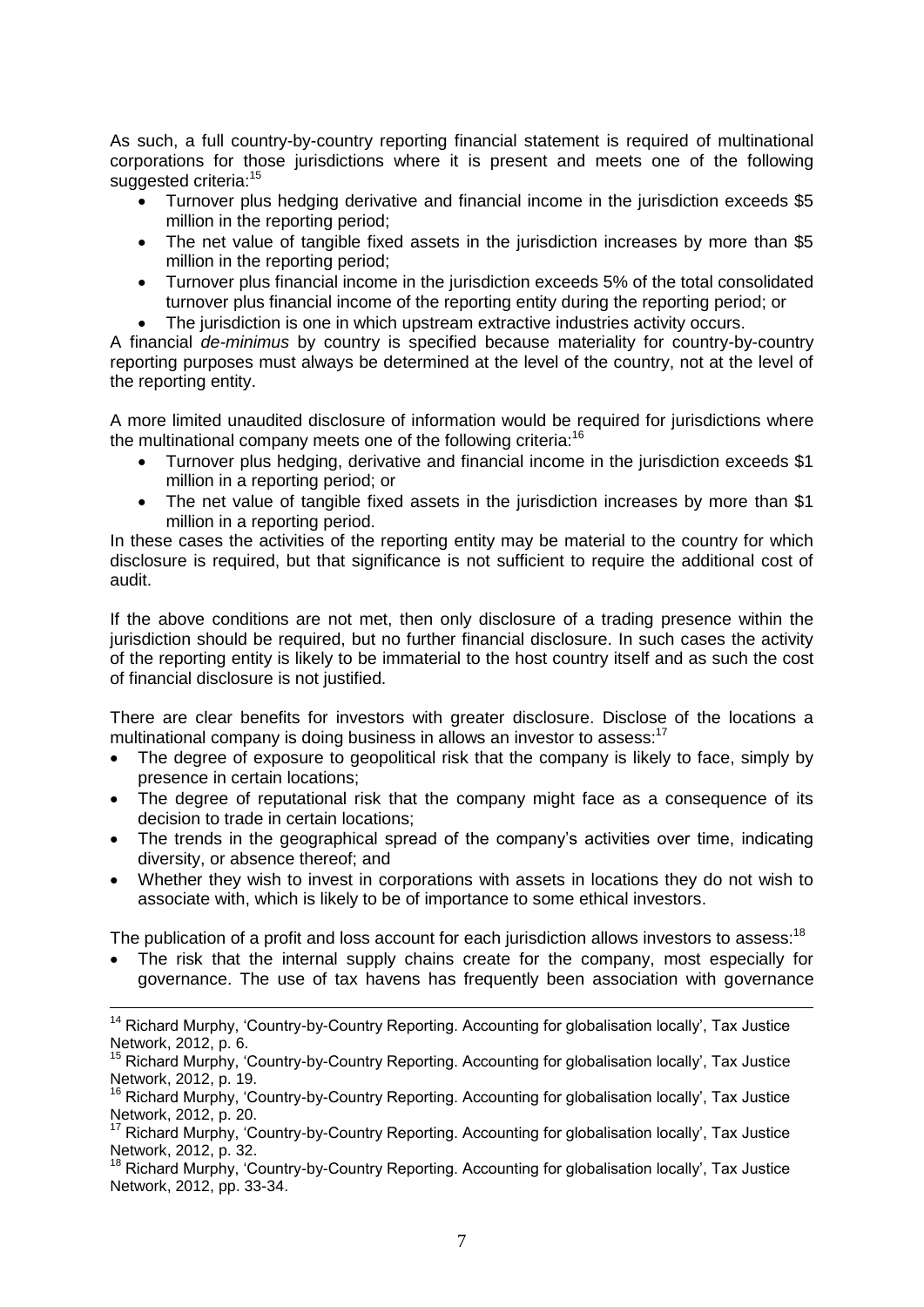As such, a full country-by-country reporting financial statement is required of multinational corporations for those jurisdictions where it is present and meets one of the following suggested criteria:<sup>15</sup>

- Turnover plus hedging derivative and financial income in the jurisdiction exceeds \$5 million in the reporting period;
- The net value of tangible fixed assets in the jurisdiction increases by more than \$5 million in the reporting period;
- Turnover plus financial income in the jurisdiction exceeds 5% of the total consolidated turnover plus financial income of the reporting entity during the reporting period; or
- The jurisdiction is one in which upstream extractive industries activity occurs.

A financial *de-minimus* by country is specified because materiality for country-by-country reporting purposes must always be determined at the level of the country, not at the level of the reporting entity.

A more limited unaudited disclosure of information would be required for jurisdictions where the multinational company meets one of the following criteria:<sup>16</sup>

- Turnover plus hedging, derivative and financial income in the jurisdiction exceeds \$1 million in a reporting period; or
- The net value of tangible fixed assets in the jurisdiction increases by more than \$1 million in a reporting period.

In these cases the activities of the reporting entity may be material to the country for which disclosure is required, but that significance is not sufficient to require the additional cost of audit.

If the above conditions are not met, then only disclosure of a trading presence within the jurisdiction should be required, but no further financial disclosure. In such cases the activity of the reporting entity is likely to be immaterial to the host country itself and as such the cost of financial disclosure is not justified.

There are clear benefits for investors with greater disclosure. Disclose of the locations a multinational company is doing business in allows an investor to assess:<sup>17</sup>

- The degree of exposure to geopolitical risk that the company is likely to face, simply by presence in certain locations;
- The degree of reputational risk that the company might face as a consequence of its decision to trade in certain locations;
- The trends in the geographical spread of the company's activities over time, indicating diversity, or absence thereof; and
- Whether they wish to invest in corporations with assets in locations they do not wish to associate with, which is likely to be of importance to some ethical investors.

The publication of a profit and loss account for each jurisdiction allows investors to assess:<sup>18</sup>

 The risk that the internal supply chains create for the company, most especially for governance. The use of tax havens has frequently been association with governance

<sup>&</sup>lt;sup>14</sup> Richard Murphy, 'Country-by-Country Reporting. Accounting for globalisation locally', Tax Justice Network, 2012, p. 6.

<sup>&</sup>lt;sup>15</sup> Richard Murphy, 'Country-by-Country Reporting. Accounting for globalisation locally', Tax Justice Network, 2012, p. 19.

<sup>&</sup>lt;sup>16</sup> Richard Murphy, 'Country-by-Country Reporting. Accounting for globalisation locally', Tax Justice Network, 2012, p. 20.

<sup>17</sup> Richard Murphy, 'Country-by-Country Reporting. Accounting for globalisation locally', Tax Justice Network, 2012, p. 32.

<sup>&</sup>lt;sup>18</sup> Richard Murphy, 'Country-by-Country Reporting. Accounting for globalisation locally', Tax Justice Network, 2012, pp. 33-34.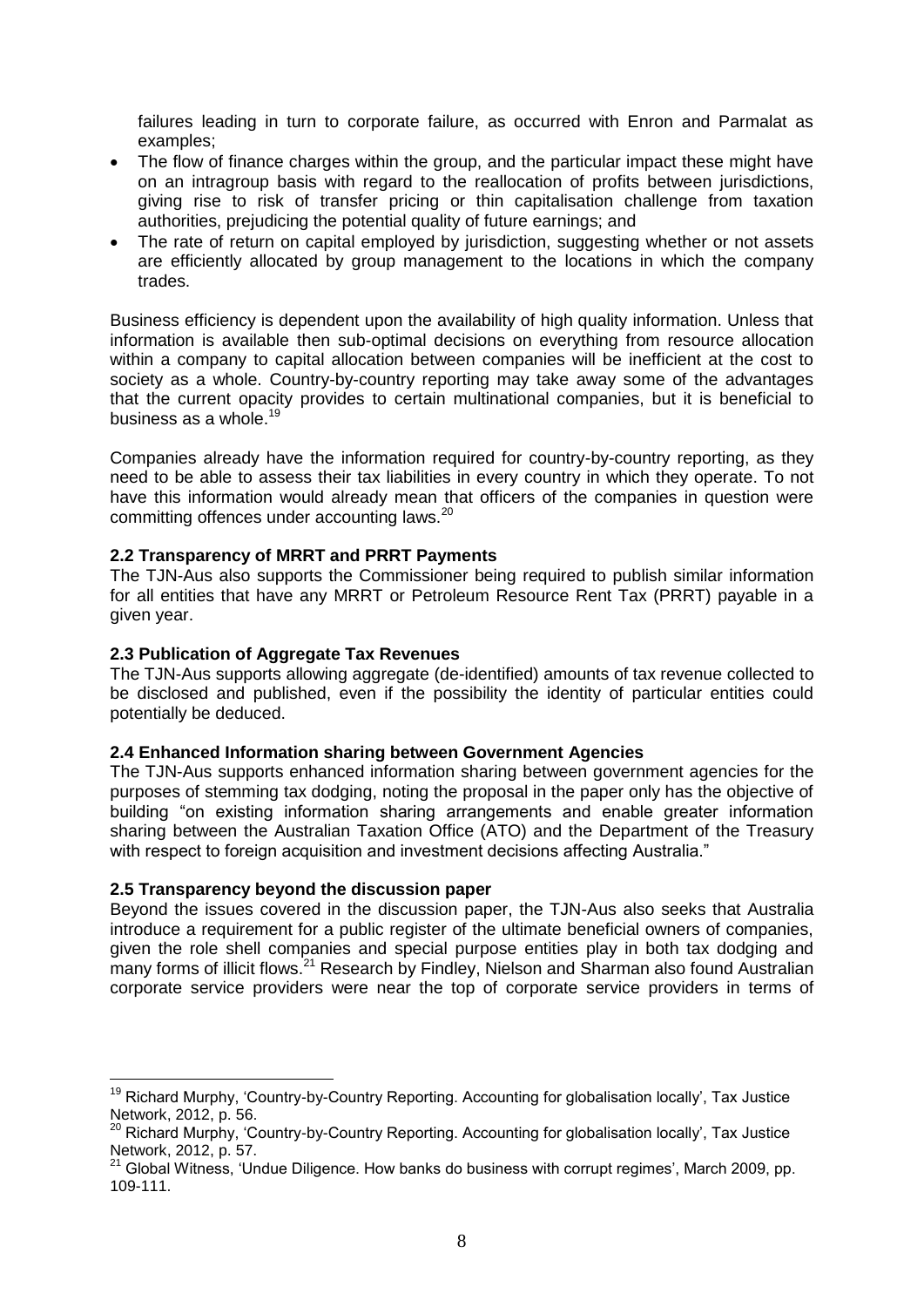failures leading in turn to corporate failure, as occurred with Enron and Parmalat as examples;

- The flow of finance charges within the group, and the particular impact these might have on an intragroup basis with regard to the reallocation of profits between jurisdictions, giving rise to risk of transfer pricing or thin capitalisation challenge from taxation authorities, prejudicing the potential quality of future earnings; and
- The rate of return on capital employed by jurisdiction, suggesting whether or not assets are efficiently allocated by group management to the locations in which the company trades.

Business efficiency is dependent upon the availability of high quality information. Unless that information is available then sub-optimal decisions on everything from resource allocation within a company to capital allocation between companies will be inefficient at the cost to society as a whole. Country-by-country reporting may take away some of the advantages that the current opacity provides to certain multinational companies, but it is beneficial to business as a whole.<sup>19</sup>

Companies already have the information required for country-by-country reporting, as they need to be able to assess their tax liabilities in every country in which they operate. To not have this information would already mean that officers of the companies in question were committing offences under accounting laws.<sup>20</sup>

### **2.2 Transparency of MRRT and PRRT Payments**

The TJN-Aus also supports the Commissioner being required to publish similar information for all entities that have any MRRT or Petroleum Resource Rent Tax (PRRT) payable in a given year.

#### **2.3 Publication of Aggregate Tax Revenues**

The TJN-Aus supports allowing aggregate (de-identified) amounts of tax revenue collected to be disclosed and published, even if the possibility the identity of particular entities could potentially be deduced.

#### **2.4 Enhanced Information sharing between Government Agencies**

The TJN-Aus supports enhanced information sharing between government agencies for the purposes of stemming tax dodging, noting the proposal in the paper only has the objective of building "on existing information sharing arrangements and enable greater information sharing between the Australian Taxation Office (ATO) and the Department of the Treasury with respect to foreign acquisition and investment decisions affecting Australia."

### **2.5 Transparency beyond the discussion paper**

 $\overline{a}$ 

Beyond the issues covered in the discussion paper, the TJN-Aus also seeks that Australia introduce a requirement for a public register of the ultimate beneficial owners of companies, given the role shell companies and special purpose entities play in both tax dodging and many forms of illicit flows.<sup>21</sup> Research by Findley, Nielson and Sharman also found Australian corporate service providers were near the top of corporate service providers in terms of

<sup>&</sup>lt;sup>19</sup> Richard Murphy, 'Country-by-Country Reporting. Accounting for globalisation locally', Tax Justice Network, 2012, p. 56.

<sup>&</sup>lt;sup>20</sup> Richard Murphy, 'Country-by-Country Reporting. Accounting for globalisation locally', Tax Justice Network, 2012, p. 57.

 $21$  Global Witness, 'Undue Diligence. How banks do business with corrupt regimes', March 2009, pp. 109-111.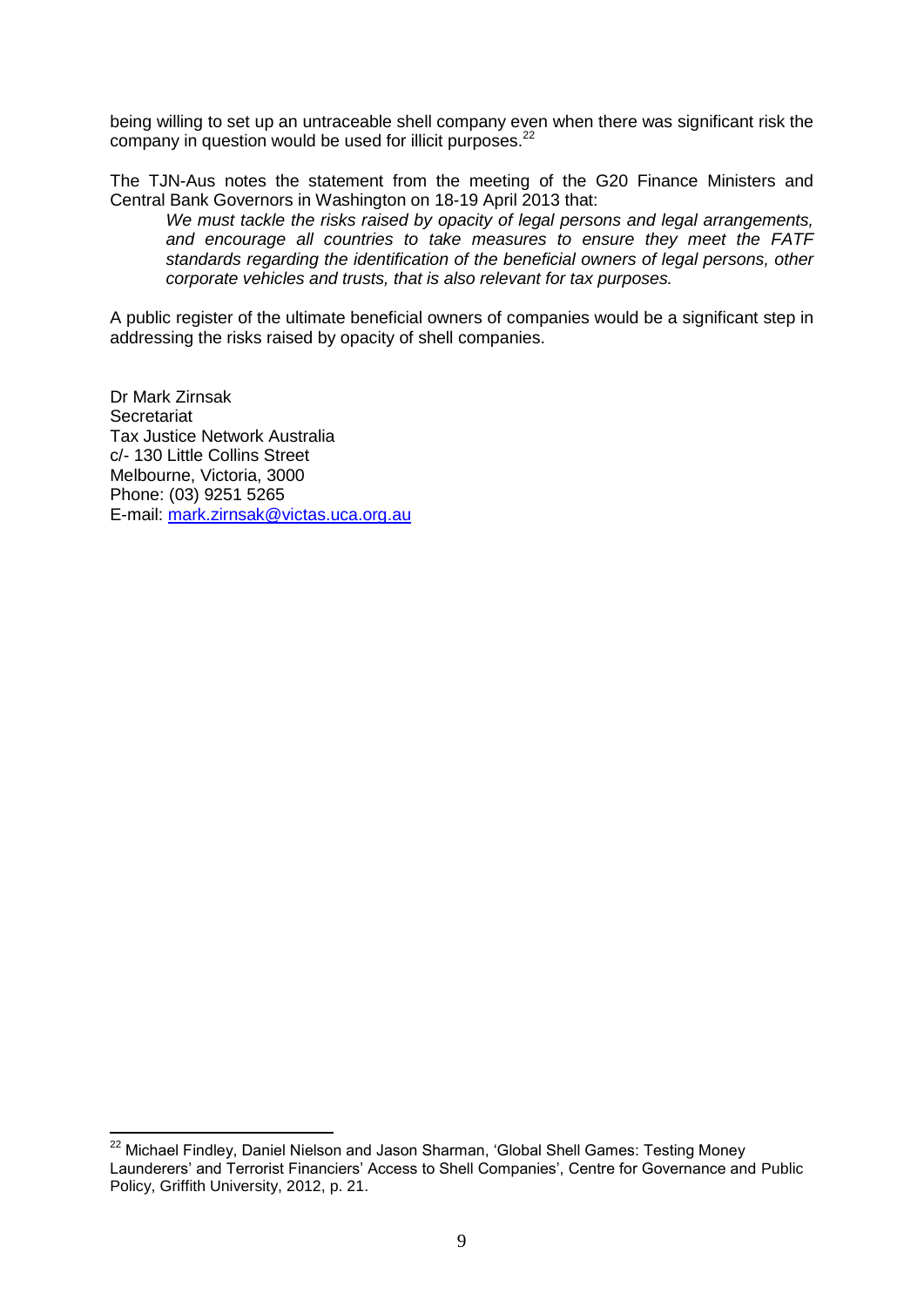being willing to set up an untraceable shell company even when there was significant risk the company in question would be used for illicit purposes.<sup>22</sup>

The TJN-Aus notes the statement from the meeting of the G20 Finance Ministers and Central Bank Governors in Washington on 18-19 April 2013 that:

*We must tackle the risks raised by opacity of legal persons and legal arrangements, and encourage all countries to take measures to ensure they meet the FATF standards regarding the identification of the beneficial owners of legal persons, other corporate vehicles and trusts, that is also relevant for tax purposes.* 

A public register of the ultimate beneficial owners of companies would be a significant step in addressing the risks raised by opacity of shell companies.

Dr Mark Zirnsak **Secretariat** Tax Justice Network Australia c/- 130 Little Collins Street Melbourne, Victoria, 3000 Phone: (03) 9251 5265 E-mail: [mark.zirnsak@victas.uca.org.au](mailto:mark.zirnsak@victas.uca.org.au)

<sup>&</sup>lt;sup>22</sup> Michael Findley, Daniel Nielson and Jason Sharman, 'Global Shell Games: Testing Money Launderers' and Terrorist Financiers' Access to Shell Companies', Centre for Governance and Public Policy, Griffith University, 2012, p. 21.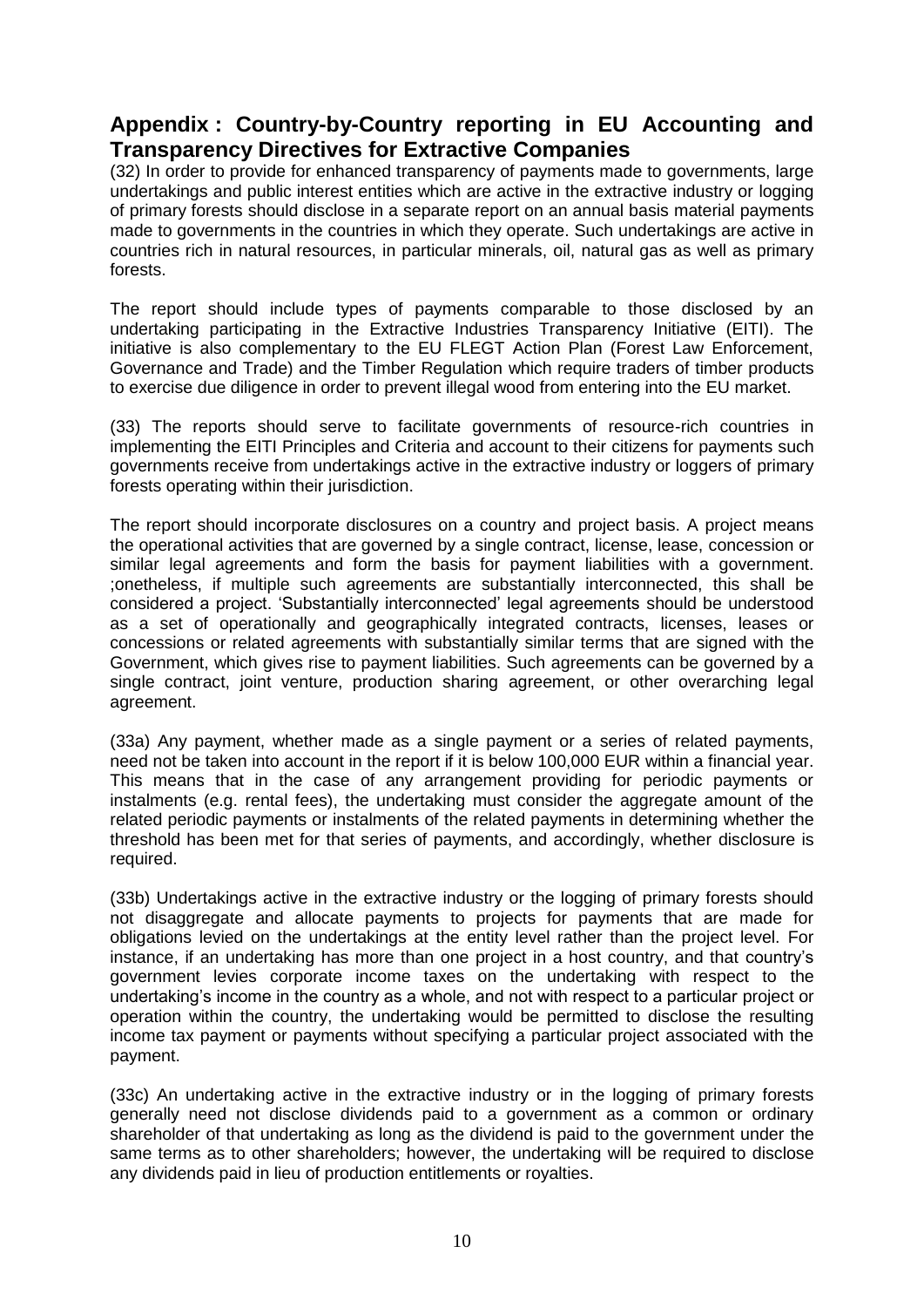# **Appendix : Country-by-Country reporting in EU Accounting and Transparency Directives for Extractive Companies**

(32) In order to provide for enhanced transparency of payments made to governments, large undertakings and public interest entities which are active in the extractive industry or logging of primary forests should disclose in a separate report on an annual basis material payments made to governments in the countries in which they operate. Such undertakings are active in countries rich in natural resources, in particular minerals, oil, natural gas as well as primary forests.

The report should include types of payments comparable to those disclosed by an undertaking participating in the Extractive Industries Transparency Initiative (EITI). The initiative is also complementary to the EU FLEGT Action Plan (Forest Law Enforcement, Governance and Trade) and the Timber Regulation which require traders of timber products to exercise due diligence in order to prevent illegal wood from entering into the EU market.

(33) The reports should serve to facilitate governments of resource-rich countries in implementing the EITI Principles and Criteria and account to their citizens for payments such governments receive from undertakings active in the extractive industry or loggers of primary forests operating within their jurisdiction.

The report should incorporate disclosures on a country and project basis. A project means the operational activities that are governed by a single contract, license, lease, concession or similar legal agreements and form the basis for payment liabilities with a government. ;onetheless, if multiple such agreements are substantially interconnected, this shall be considered a project. 'Substantially interconnected' legal agreements should be understood as a set of operationally and geographically integrated contracts, licenses, leases or concessions or related agreements with substantially similar terms that are signed with the Government, which gives rise to payment liabilities. Such agreements can be governed by a single contract, joint venture, production sharing agreement, or other overarching legal agreement.

(33a) Any payment, whether made as a single payment or a series of related payments, need not be taken into account in the report if it is below 100,000 EUR within a financial year. This means that in the case of any arrangement providing for periodic payments or instalments (e.g. rental fees), the undertaking must consider the aggregate amount of the related periodic payments or instalments of the related payments in determining whether the threshold has been met for that series of payments, and accordingly, whether disclosure is required.

(33b) Undertakings active in the extractive industry or the logging of primary forests should not disaggregate and allocate payments to projects for payments that are made for obligations levied on the undertakings at the entity level rather than the project level. For instance, if an undertaking has more than one project in a host country, and that country's government levies corporate income taxes on the undertaking with respect to the undertaking's income in the country as a whole, and not with respect to a particular project or operation within the country, the undertaking would be permitted to disclose the resulting income tax payment or payments without specifying a particular project associated with the payment.

(33c) An undertaking active in the extractive industry or in the logging of primary forests generally need not disclose dividends paid to a government as a common or ordinary shareholder of that undertaking as long as the dividend is paid to the government under the same terms as to other shareholders; however, the undertaking will be required to disclose any dividends paid in lieu of production entitlements or royalties.